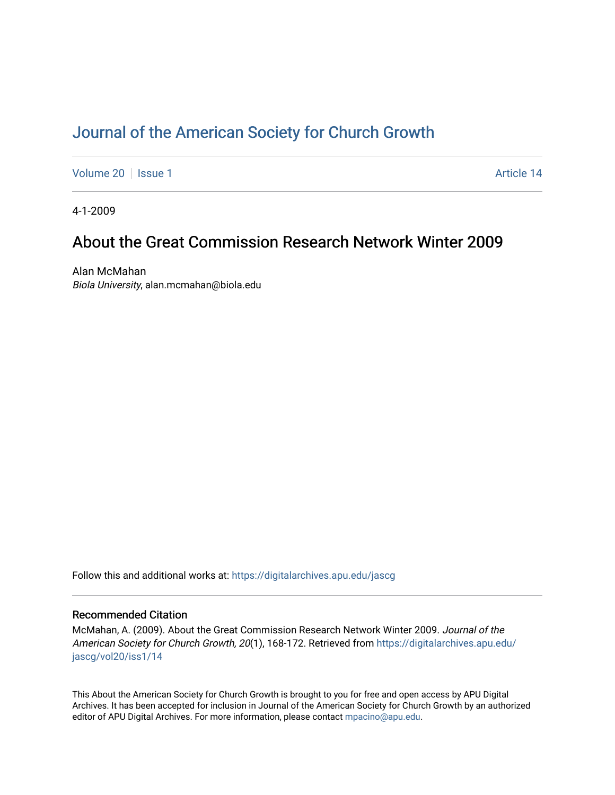# [Journal of the American Society for Church Growth](https://digitalarchives.apu.edu/jascg)

[Volume 20](https://digitalarchives.apu.edu/jascg/vol20) | [Issue 1](https://digitalarchives.apu.edu/jascg/vol20/iss1) Article 14

4-1-2009

# About the Great Commission Research Network Winter 2009

Alan McMahan Biola University, alan.mcmahan@biola.edu

Follow this and additional works at: [https://digitalarchives.apu.edu/jascg](https://digitalarchives.apu.edu/jascg?utm_source=digitalarchives.apu.edu%2Fjascg%2Fvol20%2Fiss1%2F14&utm_medium=PDF&utm_campaign=PDFCoverPages) 

### Recommended Citation

McMahan, A. (2009). About the Great Commission Research Network Winter 2009. Journal of the American Society for Church Growth, 20(1), 168-172. Retrieved from [https://digitalarchives.apu.edu/](https://digitalarchives.apu.edu/jascg/vol20/iss1/14?utm_source=digitalarchives.apu.edu%2Fjascg%2Fvol20%2Fiss1%2F14&utm_medium=PDF&utm_campaign=PDFCoverPages) [jascg/vol20/iss1/14](https://digitalarchives.apu.edu/jascg/vol20/iss1/14?utm_source=digitalarchives.apu.edu%2Fjascg%2Fvol20%2Fiss1%2F14&utm_medium=PDF&utm_campaign=PDFCoverPages) 

This About the American Society for Church Growth is brought to you for free and open access by APU Digital Archives. It has been accepted for inclusion in Journal of the American Society for Church Growth by an authorized editor of APU Digital Archives. For more information, please contact [mpacino@apu.edu.](mailto:mpacino@apu.edu)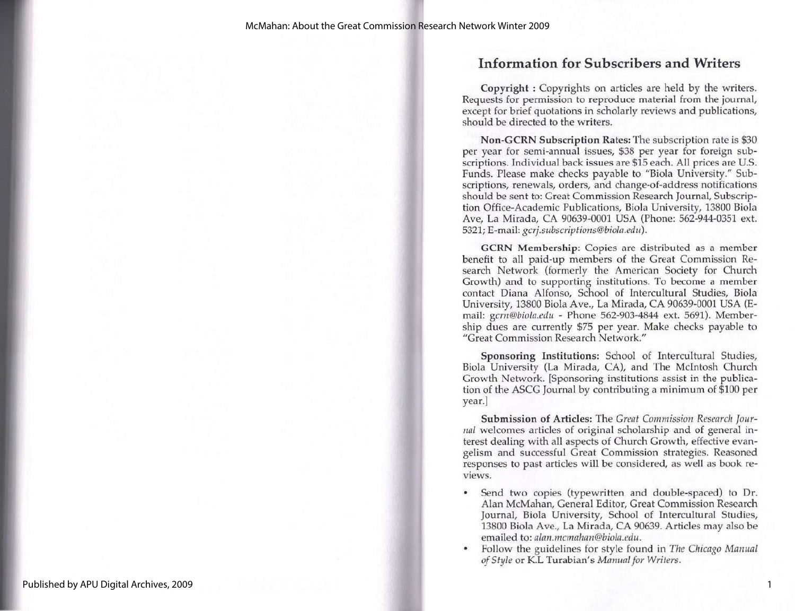## Information for Subscribers and Writers

Copyright : Copyrights on articles are held by the writers. Requests for permission to reproduce material from the journal, except for brief quotations in scholarly reviews and publications, should be directed to the writers.

Non-GCRN Subscription Rates: The subscription rate is \$30 per year for semi-annual issues, \$38 per year for foreign subscriptions. Individual back issues are \$15 each. All prices are U.S, Funds. Please make checks payable to "Biola University." Subscriptions, renewals, orders, and change-of-address notifications should be sent to: Great Commission Research Journal, Subscription Office-Academic Publications, Biola University, 13800 Biola Ave, La Mirada, CA 90639-0001 USA (Phone: 562-944-0351 ext. 5321; E-mail: gcrj.subscriptions@biola.edu).

GCRN Membership: Copies are distributed as a member benefit to all paid-up members of the Great Commission Research Network (formerly the American Society for Church Growth) and to supporting institutions. To become a member contact Diana Alfonso, School of Intercultural Studies, Biola University, 13800 Biola Ave., La Mirada, CA 90639-0001 USA (E-<br>mail: gcrn@biola.edu - Phone 562-903-4844 ext. 5691). Membermail: gcrn@biola.edu - Phone 562-903-4844 ext. 5691). Member-<br>ship dues are currently \$75 per year. Make checks payable to "Great Commission Research Network."

Sponsoring Institutions: School of Intercultural Studies, Biola University (La Mirada, CA), and The McIntosh Church Growth Network. [Sponsoring institutions assist in the publication of the ASCG Journal by contributing a minimum of \$100 per year.]

Submission of Articles: The Great Commission Research Jour-<br>nal welcomes articles of original scholarship and of general in-<br>terest dealing with all aspects of Church Growth, effective evangelism and successful Great Commission strategies. Reasoned responses to past articles will be considered, as well as book reviews.

- \* Send two copies (typewritten and double-spaced) to Dr. Alan McMahan, General Editor, Great Commission Research Journal, Biola University, School of Intercultural Studies, 13800 Biola Ave., La Mirada, CA 90639. Articles may also be emailed to: *alan.mcmahan@biola.edu.*<br>Follow the guidelines for style found in *The Chicago Manual*
- of Style or K.L Turabian's Manual for Writers.

1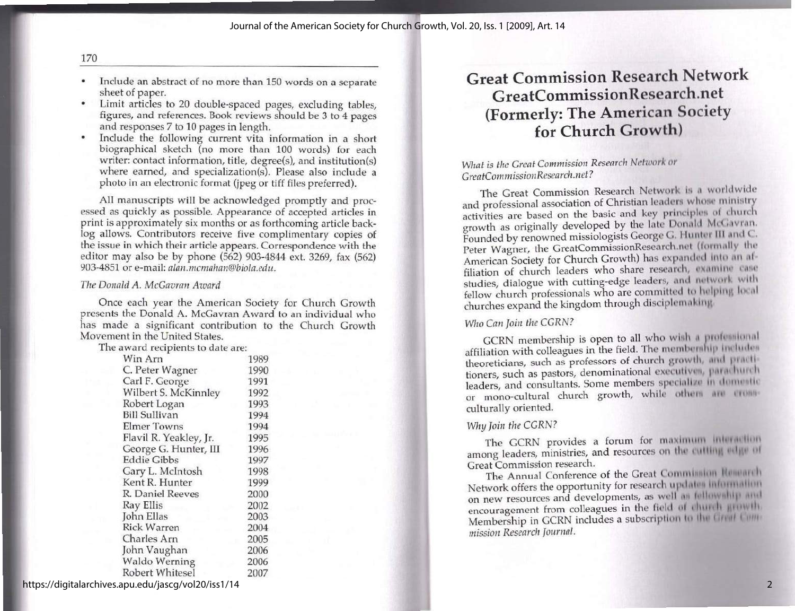- \* Include an abstract of no more than 150 words on a separate sheet of paper.
- \* Limit articles to 20 double-spaced pages, excluding tables, figures, and references. Book reviews should be 3 to 4 pages and responses 7 to 10 pages in length.
- \* Include the following current vita information in a short biographical sketch (no more than 100 words) for each writer: contact information, title, degree(s), and institution(s) where earned, and specialization(s). Please also include a photo in an electronic format (jpeg or tiff files preferred).

All manuscripts will be acknowledged promptly and processed as quickly as possible. Appearance of accepted articles in print is approximately six months or as forthcoming article backlog allows. Contributors receive five c

### The Donald A. McGavran Award

Once each year the American Society for Church Growth<br>presents the Donald A. McGavran Award to an individual who<br>has made a significant contribution to the Church Growth<br>Movement in the United States.<br>The award recipients

| Win Arn                | 1989 |
|------------------------|------|
| C. Peter Wagner        | 1990 |
| Carl F. George         | 1991 |
| Wilbert S. McKinnley   | 1992 |
| Robert Logan           | 1993 |
| Bill Sullivan          | 1994 |
| <b>Elmer Towns</b>     | 1994 |
| Flavil R. Yeakley, Jr. | 1995 |
| George G. Hunter, III  | 1996 |
| <b>Eddie Gibbs</b>     | 1997 |
| Gary L. McIntosh       | 1998 |
| Kent R. Hunter         | 1999 |
| R. Daniel Reeves       | 2000 |
| Ray Ellis              | 2002 |
| John Ellas             | 2003 |
| <b>Rick Warren</b>     | 2004 |
| Charles Arn            | 2005 |
| John Vaughan           | 2006 |
| Waldo Werning          | 2006 |
| Robert Whitesel        | 2007 |

# Great Commission Research Network GreatCommissionResearch.net (Formerly: The American Society for Church Growth)

### What is the Great Commission Research Network or GreatCommission Research.net?

The Great Commission Research Network is a worldwide and professional association of Christian leaders whose ministry<br>activities are based on the basic and key principles of church<br>growth as originally developed by the late Donald McGavran.<br>Founded by renowned missiologists studies, dialogue with cutting-edge leaders, and network with<br>fellow church professionals who are committed to helping local churches expand the kingdom through disciplemaking.

### Who Can Join the CGRN?

GCRN membership is open to all who wish a professional affiliation with colleagues in the field. The membership includes theoreticians, such as professors of church growth, and practitioners, such as pastors, denominational executives, parachurch leaders, and consultants. Some members specialize in domestic leaders, and consultants. Some members specialize in domestic or mono-cultural church growth, while other are cross-<br>culturally oriented.

#### Why Join the CGRN?

The GCRN provides a forum for maximum interaction The Great Commission research.<br>The Annual Conference of the Great Commission Research.<br>Network offers the opportunity for research updates information

on new resources and developments, as well as fellowship and on new resources and developments, as well a<br>encouragement from colleagues in the field  $\omega$ <br>Membership in GCRN includes a subscription mission Research Journal.

https://digitalarchives.apu.edu/jascg/vol20/iss1/14